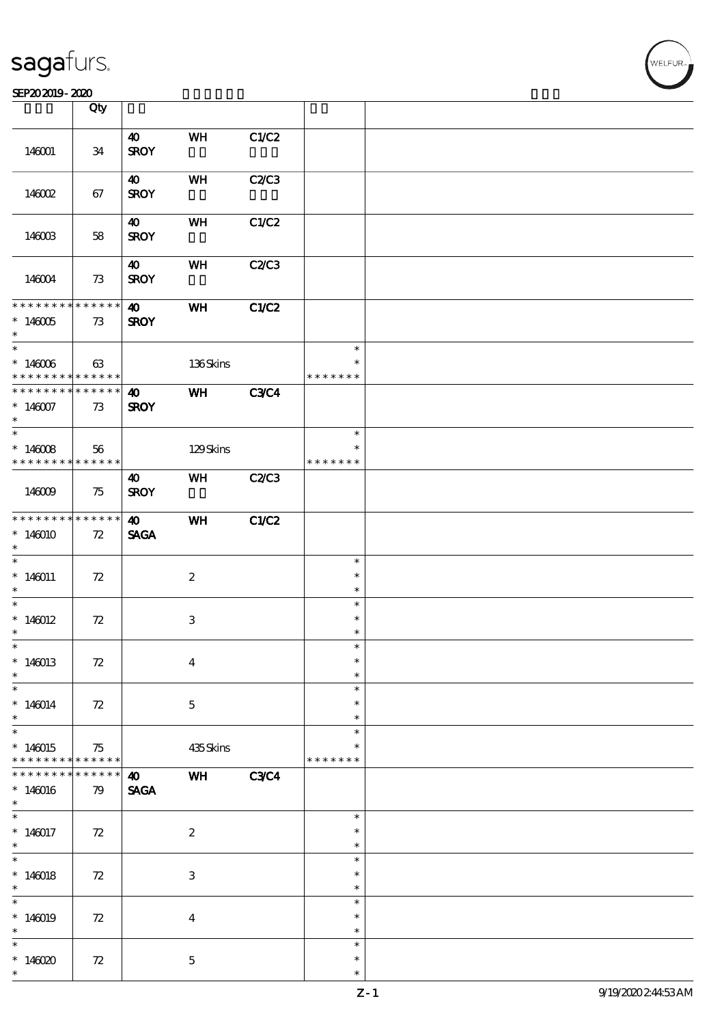#### $SEP202019 - 2020$

|                                                                                     | Qty                 |                                      |                           |              |                                   |  |
|-------------------------------------------------------------------------------------|---------------------|--------------------------------------|---------------------------|--------------|-----------------------------------|--|
| 146001                                                                              | 34                  | $\boldsymbol{\omega}$<br><b>SROY</b> | WH                        | C1/C2        |                                   |  |
| 146002                                                                              | 67                  | 40<br><b>SROY</b>                    | WH                        | <b>C2/C3</b> |                                   |  |
| 146003                                                                              | 58                  | 40<br><b>SROY</b>                    | WH                        | C1/C2        |                                   |  |
| 146004                                                                              | 73                  | $\boldsymbol{\omega}$<br><b>SROY</b> | WH                        | <b>C2/C3</b> |                                   |  |
| * * * * * * * * * * * * * * *<br>$*146005$<br>$\ast$                                | 73                  | $\boldsymbol{\omega}$<br><b>SROY</b> | <b>WH</b>                 | C1/C2        |                                   |  |
| $\overline{\phantom{0}}$<br>$*146006$<br>* * * * * * * * <mark>* * * * * * *</mark> | 63                  |                                      | 136Skins                  |              | $\ast$<br>$\ast$<br>* * * * * * * |  |
| * * * * * * * * * * * * * * *<br>$*146007$<br>$\ast$                                | 73                  | $\boldsymbol{\omega}$<br><b>SROY</b> | WH                        | <b>C3C4</b>  |                                   |  |
| $*146008$<br>* * * * * * * * <mark>* * * * * * *</mark>                             | 56                  |                                      | 129Skins                  |              | $\ast$<br>$\ast$<br>* * * * * * * |  |
| 146009                                                                              | 75                  | 40<br><b>SROY</b>                    | WH                        | C2C3         |                                   |  |
| * * * * * * * * <mark>* * * * * * *</mark><br>$*146010$<br>$\ast$                   | 72                  | $\boldsymbol{\omega}$<br><b>SAGA</b> | WH                        | C1/C2        |                                   |  |
| $\overline{\ast}$<br>$*146011$<br>$\ast$                                            | 72                  |                                      | $\boldsymbol{2}$          |              | $\ast$<br>$\ast$<br>$\ast$        |  |
| $*$<br>$*146012$<br>$\ast$                                                          | 72                  |                                      | $\ensuremath{\mathbf{3}}$ |              | $\ast$<br>$\ast$<br>$\ast$        |  |
| $\ast$<br>$*146013$<br>$\ast$                                                       | $72\,$              |                                      | $\boldsymbol{4}$          |              | $\ast$<br>$\ast$<br>$\ast$        |  |
| $\overline{\phantom{0}}$<br>$*146014$<br>$\ast$                                     | 72                  |                                      | $\mathbf{5}$              |              | $\ast$<br>$\ast$<br>$\ast$        |  |
| $\overline{\ast}$<br>$*146015$<br>* * * * * * * *                                   | 75<br>******        |                                      | 435Skins                  |              | $\ast$<br>* * * * * * *           |  |
| * * * * * * *<br>$*146016$<br>$\ast$                                                | $* * * * * *$<br>79 | $\boldsymbol{\omega}$<br><b>SAGA</b> | WH                        | <b>C3C4</b>  |                                   |  |
| $\ast$<br>$*146017$<br>$*$                                                          | 72                  |                                      | $\boldsymbol{2}$          |              | $\ast$<br>$\ast$<br>$\ast$        |  |
| $\overline{\phantom{0}}$<br>$*140018$<br>$\ast$                                     | 72                  |                                      | $\ensuremath{\mathbf{3}}$ |              | $\ast$<br>$\ast$<br>$\ast$        |  |
| $\overline{\ast}$<br>$*146019$<br>$\ast$                                            | 72                  |                                      | $\boldsymbol{4}$          |              | $\ast$<br>$\ast$<br>$\ast$        |  |
| $\ast$<br>$*146020$<br>$\ast$                                                       | 72                  |                                      | $\mathbf{5}$              |              | $\ast$<br>$\ast$<br>$\ast$        |  |

 $\overline{\mathsf{T}}$ 

WELFUR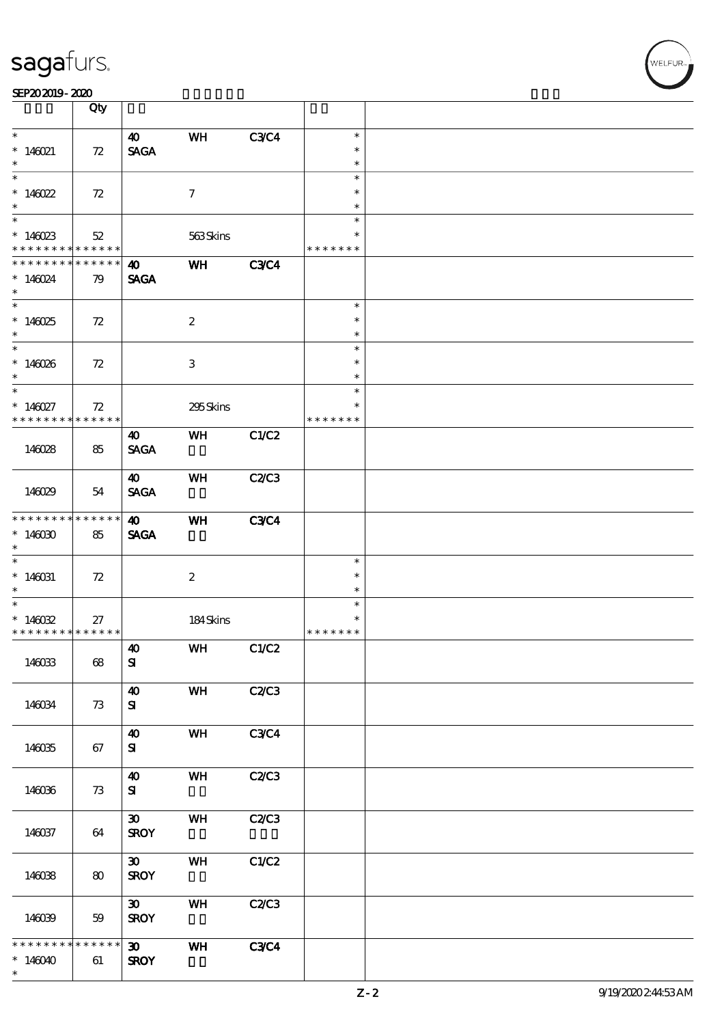|                                                          | Qty               |                             |                  |             |                         |  |
|----------------------------------------------------------|-------------------|-----------------------------|------------------|-------------|-------------------------|--|
| $\ast$                                                   |                   | $\boldsymbol{\omega}$       | WH               | <b>C3C4</b> | $\ast$                  |  |
| $*146021$<br>$\ast$                                      | 72                | <b>SAGA</b>                 |                  |             | $\ast$<br>$\ast$        |  |
|                                                          |                   |                             |                  |             | $\ast$                  |  |
| $*146022$<br>$\ast$                                      | 72                |                             | $\tau$           |             | $\ast$<br>$\ast$        |  |
|                                                          |                   |                             |                  |             | $\ast$                  |  |
| $*146023$<br>* * * * * * * * <mark>* * * * * * *</mark>  | 52                |                             | 563Skins         |             | $\ast$<br>* * * * * * * |  |
| * * * * * * * *                                          | $* * * * * * *$   | 40                          | WH               | <b>C3C4</b> |                         |  |
| $* 146024$<br>$\ast$                                     | 79                | <b>SAGA</b>                 |                  |             |                         |  |
|                                                          |                   |                             |                  |             | $\ast$                  |  |
| $*146025$<br>$\ast$                                      | 72                |                             | $\boldsymbol{2}$ |             | $\ast$<br>$\ast$        |  |
| $\overline{\phantom{0}}$                                 |                   |                             |                  |             | $\ast$                  |  |
| $*146026$<br>$\ast$                                      | 72                |                             | 3                |             | $\ast$<br>$\ast$        |  |
| $\overline{\phantom{0}}$                                 |                   |                             |                  |             | $\ast$                  |  |
| $* 146027$<br>* * * * * * * *                            | 72<br>* * * * * * |                             | 295Skins         |             | $\ast$<br>* * * * * * * |  |
|                                                          |                   | 40                          | <b>WH</b>        | C1/C2       |                         |  |
| 146028                                                   | 85                | <b>SAGA</b>                 |                  |             |                         |  |
|                                                          |                   | $\boldsymbol{\omega}$       | WH               | C2C3        |                         |  |
| 146029                                                   | 54                | <b>SAGA</b>                 |                  |             |                         |  |
| * * * * * * * *                                          | $* * * * * * *$   | $\boldsymbol{\omega}$       | WH               | <b>C3C4</b> |                         |  |
| $*146000$<br>$\ast$                                      | 85                | <b>SAGA</b>                 |                  |             |                         |  |
| $\overline{\ast}$                                        |                   |                             |                  |             | $\ast$                  |  |
| $* 146031$<br>$\ast$                                     | 72                |                             | $\boldsymbol{2}$ |             | $\ast$<br>$\ast$        |  |
|                                                          |                   |                             |                  |             | $\ast$                  |  |
| * $146032$<br>* * * * * * * * <mark>* * * * * * *</mark> | 27                |                             | 184Skins         |             | $\ast$<br>* * * * * * * |  |
|                                                          |                   | $\boldsymbol{\omega}$       | <b>WH</b>        | C1/C2       |                         |  |
| 146033                                                   | 68                | ${\bf s}$                   |                  |             |                         |  |
|                                                          |                   | $\boldsymbol{\omega}$       | WH               | C2C3        |                         |  |
| 146034                                                   | 73                | ${\bf s}$                   |                  |             |                         |  |
|                                                          |                   | $\boldsymbol{\omega}$       | WH               | <b>C3C4</b> |                         |  |
| 146035                                                   | 67                | ${\bf s}$                   |                  |             |                         |  |
|                                                          |                   | $\boldsymbol{\omega}$       | WH               | C2/C3       |                         |  |
| 146036                                                   | 73                | ${\bf s}$                   |                  |             |                         |  |
|                                                          |                   | $\boldsymbol{\mathfrak{D}}$ | WH               | C2C3        |                         |  |
| 146037                                                   | 64                | <b>SROY</b>                 |                  |             |                         |  |
|                                                          |                   | $\boldsymbol{\mathfrak{D}}$ | WH               | C1/C2       |                         |  |
| 146038                                                   | 80                | <b>SROY</b>                 |                  |             |                         |  |
|                                                          |                   | $\boldsymbol{\mathfrak{D}}$ | WH               | C2/C3       |                         |  |
| 146039                                                   | 59                | <b>SROY</b>                 |                  |             |                         |  |
| * * * * * * *<br>$\ast$                                  | * * * * * *       | $\boldsymbol{\mathfrak{D}}$ | WH               | <b>C3C4</b> |                         |  |
| $*146040$<br>$\ast$                                      | 61                | <b>SROY</b>                 |                  |             |                         |  |
|                                                          |                   |                             |                  |             |                         |  |

 $\overline{\mathsf{T}}$ 

WELFUR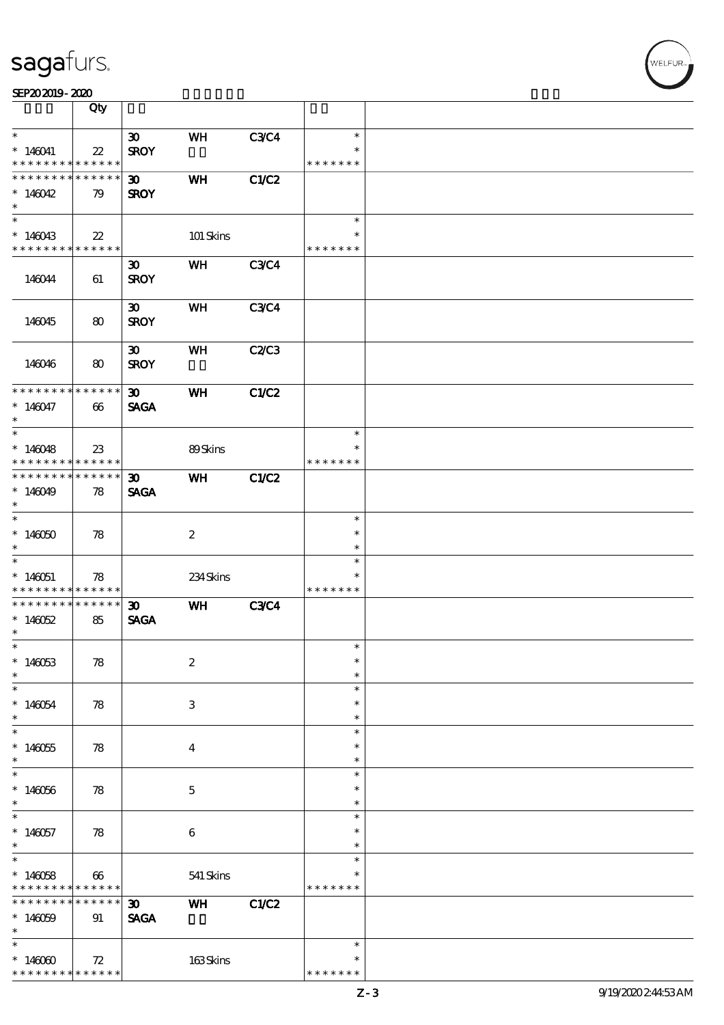|                              | Qty                                       |                             |                  |              |                         |  |
|------------------------------|-------------------------------------------|-----------------------------|------------------|--------------|-------------------------|--|
| $\ast$                       |                                           |                             |                  |              | $\ast$                  |  |
|                              |                                           | $\boldsymbol{\mathfrak{D}}$ | WH               | <b>C3C4</b>  | $\ast$                  |  |
| $*146041$<br>* * * * * * * * | $\boldsymbol{\mathcal{Z}}$<br>* * * * * * | <b>SROY</b>                 |                  |              | * * * * * * *           |  |
| * * * * * * * *              | * * * * * *                               |                             |                  |              |                         |  |
|                              |                                           | $\boldsymbol{\mathfrak{D}}$ | <b>WH</b>        | C1/C2        |                         |  |
| $*146042$<br>$\ast$          | 79                                        | <b>SROY</b>                 |                  |              |                         |  |
|                              |                                           |                             |                  |              | $\ast$                  |  |
|                              |                                           |                             |                  |              | $\ast$                  |  |
| $*146043$<br>* * * * * * * * | $22\,$<br>* * * * * *                     |                             | 101 Skins        |              | * * * * * * *           |  |
|                              |                                           |                             |                  |              |                         |  |
|                              |                                           | $\boldsymbol{\mathfrak{D}}$ | WH               | <b>C3C4</b>  |                         |  |
| 146044                       | 61                                        | <b>SROY</b>                 |                  |              |                         |  |
|                              |                                           |                             |                  |              |                         |  |
|                              |                                           | $\boldsymbol{\mathfrak{D}}$ | <b>WH</b>        | <b>C3C4</b>  |                         |  |
| 146045                       | 80                                        | <b>SROY</b>                 |                  |              |                         |  |
|                              |                                           |                             |                  |              |                         |  |
|                              |                                           | $\boldsymbol{\mathfrak{D}}$ | WH               | C2C3         |                         |  |
| 146046                       | 80                                        | <b>SROY</b>                 |                  |              |                         |  |
| * * * * * * * *              | $* * * * * * *$                           | $\boldsymbol{\mathfrak{D}}$ | WH               | C1/C2        |                         |  |
| $*146047$                    | 66                                        |                             |                  |              |                         |  |
| $\ast$                       |                                           | <b>SAGA</b>                 |                  |              |                         |  |
|                              |                                           |                             |                  |              | $\ast$                  |  |
| $*146048$                    | $23\,$                                    |                             | 89Skins          |              | $\ast$                  |  |
| * * * * * * * *              | $* * * * * * *$                           |                             |                  |              | * * * * * * *           |  |
| * * * * * * * *              | * * * * * *                               | $\boldsymbol{\mathfrak{D}}$ | WH               | <b>C1/C2</b> |                         |  |
| $*146049$                    | 78                                        | <b>SAGA</b>                 |                  |              |                         |  |
| $\ast$                       |                                           |                             |                  |              |                         |  |
|                              |                                           |                             |                  |              | $\ast$                  |  |
| $*146050$                    | 78                                        |                             | $\boldsymbol{2}$ |              | $\ast$                  |  |
| $\ast$                       |                                           |                             |                  |              | $\ast$                  |  |
|                              |                                           |                             |                  |              | $\ast$                  |  |
| $*140051$                    | 78                                        |                             | 234Skins         |              | $\ast$                  |  |
| * * * * * * * *              | * * * * * *                               |                             |                  |              | * * * * * * *           |  |
| * * * * * * * *              | $* * * * * * *$                           | $\boldsymbol{\mathfrak{D}}$ | WH               | <b>C3C4</b>  |                         |  |
| $*146052$                    | 85                                        | <b>SAGA</b>                 |                  |              |                         |  |
| $\ast$                       |                                           |                             |                  |              |                         |  |
| $*$                          |                                           |                             |                  |              | $\ast$                  |  |
| $*146053$                    | 78                                        |                             | $\boldsymbol{2}$ |              | $\ast$                  |  |
| $\ast$                       |                                           |                             |                  |              | $\ast$                  |  |
| $\ast$                       |                                           |                             |                  |              | $\ast$                  |  |
| $*146054$                    | 78                                        |                             | 3                |              | $\ast$                  |  |
| $\ast$                       |                                           |                             |                  |              | $\ast$                  |  |
| $\overline{\ast}$            |                                           |                             |                  |              | $\ast$                  |  |
| $*146055$                    | 78                                        |                             | $\bf{4}$         |              | $\ast$                  |  |
| $\ast$                       |                                           |                             |                  |              | $\ast$                  |  |
| $\ast$                       |                                           |                             |                  |              | $\ast$                  |  |
| $*146056$                    | 78                                        |                             | $\mathbf{5}$     |              | $\ast$                  |  |
| $\ast$                       |                                           |                             |                  |              | $\ast$                  |  |
| $\ast$                       |                                           |                             |                  |              | $\ast$                  |  |
| $*146057$                    | 78                                        |                             | $\boldsymbol{6}$ |              | $\ast$                  |  |
| $\ast$                       |                                           |                             |                  |              | $\ast$                  |  |
| $\overline{\ast}$            |                                           |                             |                  |              | $\ast$                  |  |
| $*140058$                    | 66                                        |                             | 541 Skins        |              | ∗                       |  |
| * * * * * * * *              | * * * * * *                               |                             |                  |              | * * * * * * *           |  |
| * * * * * * *                | * * * * * *                               | 30 <sub>o</sub>             | WH               | <b>C1/C2</b> |                         |  |
| $*146059$                    | 91                                        | <b>SAGA</b>                 |                  |              |                         |  |
| $\ast$<br>$\ast$             |                                           |                             |                  |              |                         |  |
|                              |                                           |                             |                  |              | $\ast$                  |  |
| $*146000$<br>* * * * * * * * | 72<br>* * * * * *                         |                             | 163Skins         |              | $\ast$<br>* * * * * * * |  |
|                              |                                           |                             |                  |              |                         |  |

.<br>WELFUR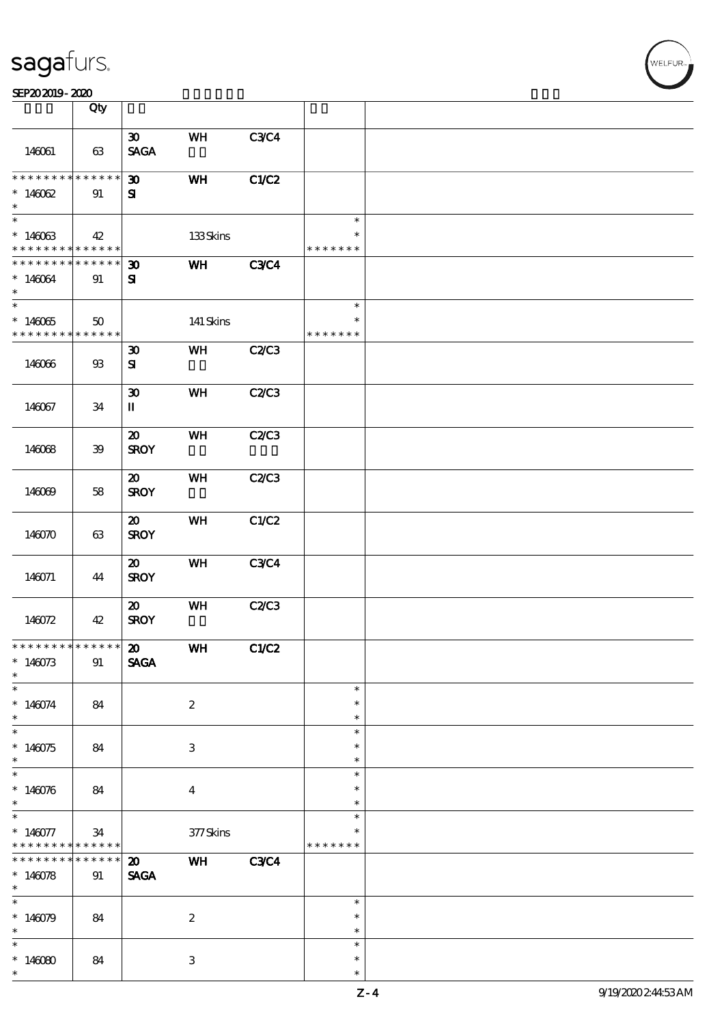|                                                                                   | Qty                   |                                             |                         |              |                                   |  |
|-----------------------------------------------------------------------------------|-----------------------|---------------------------------------------|-------------------------|--------------|-----------------------------------|--|
| 146061                                                                            | 63                    | $\boldsymbol{\mathfrak{D}}$<br><b>SAGA</b>  | WH                      | <b>C3C4</b>  |                                   |  |
| * * * * * * * * <mark>* * * * * * *</mark><br>$*14002$<br>$\ast$                  | 91                    | $\boldsymbol{\mathfrak{D}}$<br>${\bf s}$    | WH                      | C1/C2        |                                   |  |
| $\overline{\phantom{0}}$<br>$*146063$<br>* * * * * * * * <mark>* * * * * *</mark> | 42                    |                                             | 133Skins                |              | $\ast$<br>$\ast$<br>* * * * * * * |  |
| * * * * * * * * * * * * * *<br>$*146064$<br>$\ast$<br>$\overline{\ast}$           | 91                    | $\boldsymbol{\mathfrak{D}}$<br>${\bf z}$    | WH                      | <b>C3C4</b>  |                                   |  |
| $*14005$<br>* * * * * * * *                                                       | 50<br>$* * * * * * *$ |                                             | 141 Skins               |              | $\ast$<br>$\ast$<br>* * * * * * * |  |
| 146066                                                                            | $93\,$                | $\boldsymbol{\mathfrak{D}}$<br>${\bf s}$    | WH                      | C2C3         |                                   |  |
| 146067                                                                            | 34                    | $\boldsymbol{\mathfrak{D}}$<br>$\mathbf{I}$ | WH                      | <b>C2/C3</b> |                                   |  |
| 146068                                                                            | $39$                  | $\boldsymbol{\mathfrak{D}}$<br><b>SROY</b>  | <b>WH</b>               | <b>C2/C3</b> |                                   |  |
| 146069                                                                            | 58                    | $\boldsymbol{\mathfrak{D}}$<br><b>SROY</b>  | WH                      | C2C3         |                                   |  |
| 146070                                                                            | 63                    | $\boldsymbol{\mathfrak{D}}$<br><b>SROY</b>  | WH                      | C1/C2        |                                   |  |
| 146071                                                                            | 44                    | $\boldsymbol{\mathfrak{D}}$<br><b>SROY</b>  | <b>WH</b>               | <b>C3C4</b>  |                                   |  |
| 146072                                                                            | 42                    | $\boldsymbol{\mathfrak{D}}$<br><b>SROY</b>  | WH                      | C2/C3        |                                   |  |
| ******** <sup>*</sup> ****** 20<br>$*146073$<br>$\ast$                            | 91                    | <b>SAGA</b>                                 | <b>WH</b>               | C1/C2        |                                   |  |
| $*146074$<br>$\ast$                                                               | 84                    |                                             | $\boldsymbol{2}$        |              | $\ast$<br>$\ast$<br>$\ast$        |  |
| $\overline{\ast}$<br>$*146075$<br>$\ast$                                          | 84                    |                                             | 3                       |              | $\ast$<br>$\ast$<br>$\ast$        |  |
| $* 146076$<br>$\ast$                                                              | 84                    |                                             | $\overline{\mathbf{4}}$ |              | $\ast$<br>$\ast$<br>$\ast$        |  |
| $*$<br>$*146077$<br>* * * * * * * *                                               | 34<br>$* * * * * * *$ |                                             | $377$ Skins             |              | $\ast$<br>$\ast$<br>* * * * * * * |  |
| * * * * * * * *<br>$*140078$<br>$\ast$                                            | $******$<br>91        | $\boldsymbol{\mathfrak{D}}$<br><b>SAGA</b>  | WH                      | <b>C3C4</b>  |                                   |  |
| $*140079$<br>$\ast$                                                               | 84                    |                                             | $\boldsymbol{2}$        |              | $\ast$<br>$\ast$<br>$\ast$        |  |
| $*14000$<br>$\ast$                                                                | 84                    |                                             | 3                       |              | $\ast$<br>$\ast$<br>$\ast$        |  |

**WELFUR**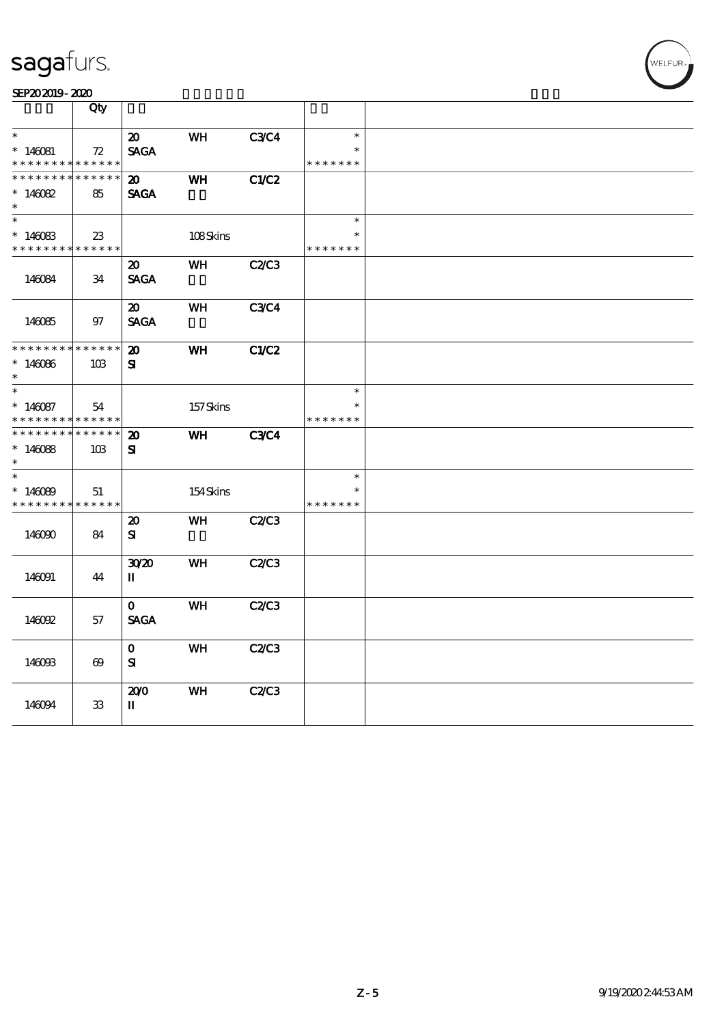| SEP202019-2020 |  |
|----------------|--|
|----------------|--|

|                                                          | Qty                   |                                            |           |              |                                   |  |
|----------------------------------------------------------|-----------------------|--------------------------------------------|-----------|--------------|-----------------------------------|--|
| $\ast$<br>$*140081$<br>* * * * * * * *                   | 72<br>* * * * * *     | $\boldsymbol{\mathsf{20}}$<br><b>SAGA</b>  | WH        | <b>C3C4</b>  | $\ast$<br>$\ast$<br>* * * * * * * |  |
| * * * * * * * *<br>$*140082$<br>$\ast$                   | * * * * * *<br>85     | $\boldsymbol{\mathfrak{D}}$<br><b>SAGA</b> | WH        | CLC2         |                                   |  |
| $\ast$<br>$*146083$<br>* * * * * * * *                   | $23\,$<br>* * * * * * |                                            | 108Skins  |              | $\ast$<br>$\ast$<br>* * * * * * * |  |
| 146084                                                   | 34                    | $\boldsymbol{\mathfrak{D}}$<br><b>SAGA</b> | <b>WH</b> | C2/C3        |                                   |  |
| 146085                                                   | 97                    | 20<br><b>SAGA</b>                          | <b>WH</b> | <b>C3C4</b>  |                                   |  |
| * * * * * * * *<br>$*146086$<br>$\ast$                   | * * * * * *<br>10B    | $\boldsymbol{\mathbf{z}}$<br>${\bf s}$     | <b>WH</b> | <b>C1/C2</b> |                                   |  |
| $\ast$<br>$*140087$<br>* * * * * * * *                   | 54<br>* * * * * *     |                                            | 157Skins  |              | $\ast$<br>$\ast$<br>* * * * * * * |  |
| * * * * * * * *<br>$*140088$<br>$\ast$                   | * * * * * *<br>10B    | $\boldsymbol{\mathbf{z}}$<br>${\bf s}$     | WH        | <b>C3C4</b>  |                                   |  |
| $\overline{\phantom{0}}$<br>$*140009$<br>* * * * * * * * | 51<br>* * * * * *     |                                            | 154Skins  |              | $\ast$<br>$\ast$<br>* * *         |  |
| 146090                                                   | 84                    | $\boldsymbol{\mathfrak{D}}$<br>${\bf s}$   | WH        | C2/C3        |                                   |  |
| 146091                                                   | 44                    | 3020<br>П                                  | WH        | C2C3         |                                   |  |
| 146092                                                   | 57                    | $\mathbf{o}$<br><b>SAGA</b>                | WH        | C2C3         |                                   |  |
| 146093                                                   | $\boldsymbol{\omega}$ | $\mathbf{o}$<br>${\bf s}$                  | <b>WH</b> | C2/C3        |                                   |  |
| 146094                                                   | 33                    | 200<br>П                                   | <b>WH</b> | C2C3         |                                   |  |

.<br>WELFUR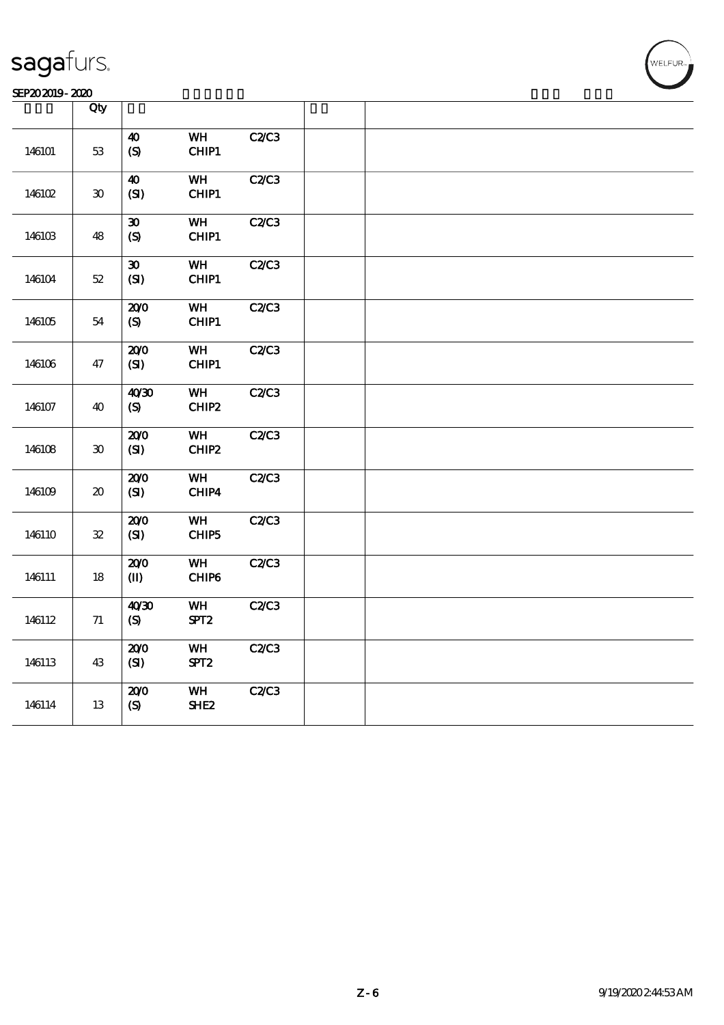| SEP202019-2020<br>_____<br>--------- |  |
|--------------------------------------|--|
|--------------------------------------|--|

|        | Qty                                 |                                                 |                        |      |  |
|--------|-------------------------------------|-------------------------------------------------|------------------------|------|--|
| 146101 | $53\,$                              | 40<br>$\boldsymbol{S}$                          | WH<br>CHIP1            | C2C3 |  |
| 146102 | 30                                  | $\boldsymbol{\omega}$<br>(SI)                   | WH<br>CHIP1            | C2C3 |  |
| 146103 | 48                                  | $\boldsymbol{\mathfrak{D}}$<br>$\boldsymbol{S}$ | WH<br>CHIP1            | C2C3 |  |
| 146104 | $52\,$                              | $\boldsymbol{\mathfrak{D}}$<br>(SI)             | WH<br>CHIP1            | C2C3 |  |
| 146105 | 54                                  | 200<br>(S)                                      | <b>WH</b><br>CHIP1     | C2C3 |  |
| 146106 | 47                                  | 200<br>(SI)                                     | WH<br>CHIP1            | C2C3 |  |
| 146107 | 40                                  | 40'30<br>(S)                                    | WH<br>CHIP2            | C2C3 |  |
| 146108 | $\pmb{30}$                          | 200<br>(SI)                                     | WH<br>CHIP2            | C2C3 |  |
| 146109 | $\boldsymbol{\boldsymbol{\lambda}}$ | 200<br>(SI)                                     | WH<br>CHIP4            | C2C3 |  |
| 146110 | ${\bf 32}$                          | 200<br>(S)                                      | WH<br>CHIP5            | C2C3 |  |
| 146111 | 18                                  | 200<br>$\mathbf{I}$                             | WH<br>CHIP6            | C2C3 |  |
| 146112 | $7\!1$                              | 40'30<br>(S)                                    | WH<br>SPT <sub>2</sub> | C2C3 |  |
| 146113 | 43                                  | 200<br>(SI)                                     | WH<br>SPT <sub>2</sub> | C2C3 |  |
| 146114 | 13                                  | 200<br>(S)                                      | WH<br>SHE <sub>2</sub> | C2C3 |  |

**NELFUR**